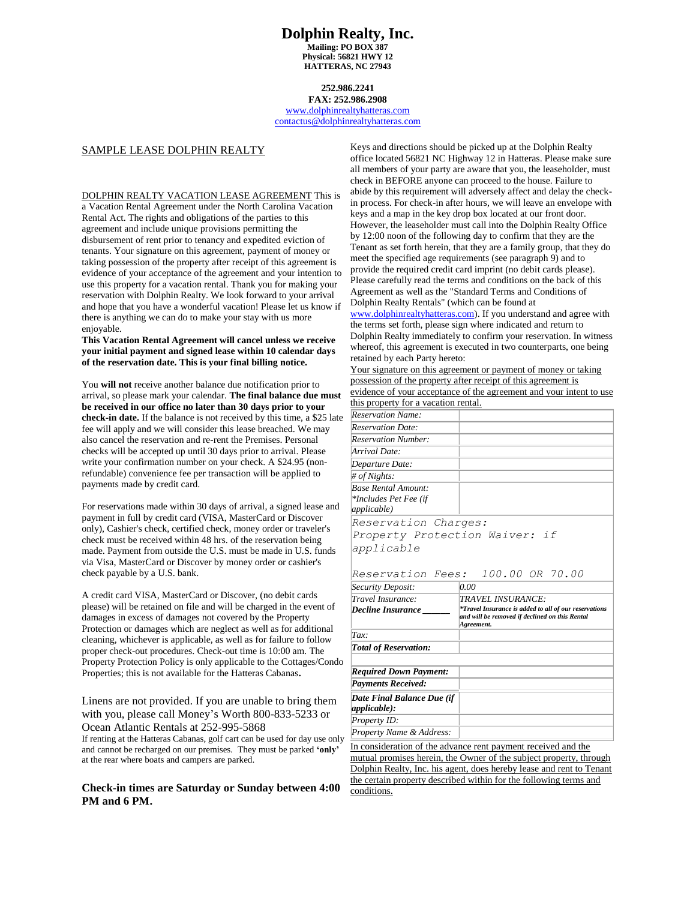### **Dolphin Realty, Inc. Mailing: PO BOX 387 Physical: 56821 HWY 12 HATTERAS, NC 27943**

# **252.986.2241**

**FAX: 252.986.2908** [www.dolphinrealtyhatteras.com](http://www.dolphinrealtyhatteras.com/) [contactus@dolphinrealtyhatteras.com](mailto:contactus@dolphinrealtyhatteras.com)

### SAMPLE LEASE DOLPHIN REALTY

DOLPHIN REALTY VACATION LEASE AGREEMENT This is a Vacation Rental Agreement under the North Carolina Vacation Rental Act. The rights and obligations of the parties to this agreement and include unique provisions permitting the disbursement of rent prior to tenancy and expedited eviction of tenants. Your signature on this agreement, payment of money or taking possession of the property after receipt of this agreement is evidence of your acceptance of the agreement and your intention to use this property for a vacation rental. Thank you for making your reservation with Dolphin Realty. We look forward to your arrival and hope that you have a wonderful vacation! Please let us know if there is anything we can do to make your stay with us more enjoyable.

**This Vacation Rental Agreement will cancel unless we receive your initial payment and signed lease within 10 calendar days of the reservation date. This is your final billing notice.** 

You **will not** receive another balance due notification prior to arrival, so please mark your calendar. **The final balance due must be received in our office no later than 30 days prior to your check-in date.** If the balance is not received by this time, a \$25 late fee will apply and we will consider this lease breached. We may also cancel the reservation and re-rent the Premises. Personal checks will be accepted up until 30 days prior to arrival. Please write your confirmation number on your check. A \$24.95 (nonrefundable) convenience fee per transaction will be applied to payments made by credit card.

For reservations made within 30 days of arrival, a signed lease and payment in full by credit card (VISA, MasterCard or Discover only), Cashier's check, certified check, money order or traveler's check must be received within 48 hrs. of the reservation being made. Payment from outside the U.S. must be made in U.S. funds via Visa, MasterCard or Discover by money order or cashier's check payable by a U.S. bank.

A credit card VISA, MasterCard or Discover, (no debit cards please) will be retained on file and will be charged in the event of damages in excess of damages not covered by the Property Protection or damages which are neglect as well as for additional cleaning, whichever is applicable, as well as for failure to follow proper check-out procedures. Check-out time is 10:00 am. The Property Protection Policy is only applicable to the Cottages/Condo Properties; this is not available for the Hatteras Cabanas**.**

Linens are not provided. If you are unable to bring them with you, please call Money's Worth 800-833-5233 or Ocean Atlantic Rentals at 252-995-5868

If renting at the Hatteras Cabanas, golf cart can be used for day use only and cannot be recharged on our premises. They must be parked **'only'** at the rear where boats and campers are parked.

## **Check-in times are Saturday or Sunday between 4:00 PM and 6 PM.**

Keys and directions should be picked up at the Dolphin Realty office located 56821 NC Highway 12 in Hatteras. Please make sure all members of your party are aware that you, the leaseholder, must check in BEFORE anyone can proceed to the house. Failure to abide by this requirement will adversely affect and delay the checkin process. For check-in after hours, we will leave an envelope with keys and a map in the key drop box located at our front door. However, the leaseholder must call into the Dolphin Realty Office by 12:00 noon of the following day to confirm that they are the Tenant as set forth herein, that they are a family group, that they do meet the specified age requirements (see paragraph 9) and to provide the required credit card imprint (no debit cards please). Please carefully read the terms and conditions on the back of this Agreement as well as the "Standard Terms and Conditions of Dolphin Realty Rentals" (which can be found at

[www.dolphinrealtyhatteras.com\)](http://www.dolphinrealtyhatteras.com/). If you understand and agree with the terms set forth, please sign where indicated and return to Dolphin Realty immediately to confirm your reservation. In witness whereof, this agreement is executed in two counterparts, one being retained by each Party hereto:

Your signature on this agreement or payment of money or taking possession of the property after receipt of this agreement is evidence of your acceptance of the agreement and your intent to use this property for a vacation rental.

| Reservation Charges:<br>Property Protection Waiver: if<br>Reservation Fees: 100.00 OR 70.00                                                              |
|----------------------------------------------------------------------------------------------------------------------------------------------------------|
| 0.00                                                                                                                                                     |
| TRAVEL INSURANCE:<br><i><b>*Travel Insurance is added to all of our reservations</b></i><br>and will be removed if declined on this Rental<br>Agreement. |
|                                                                                                                                                          |
|                                                                                                                                                          |
|                                                                                                                                                          |
|                                                                                                                                                          |
|                                                                                                                                                          |
|                                                                                                                                                          |

*applicable): Property ID: Property Name & Address:*

*Date Final Balance Due (if* 

In consideration of the advance rent payment received and the mutual promises herein, the Owner of the subject property, through Dolphin Realty, Inc. his agent, does hereby lease and rent to Tenant the certain property described within for the following terms and conditions.